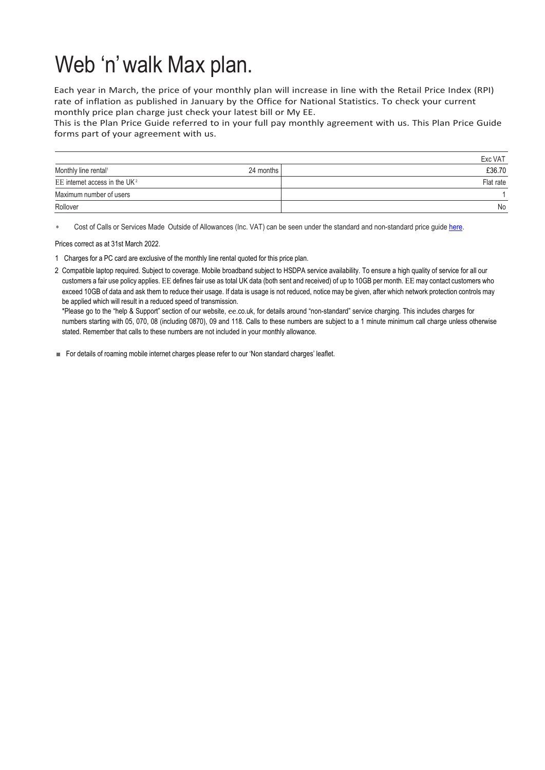## Web 'n'walk Max plan.

Each year in March, the price of your monthly plan will increase in line with the Retail Price Index (RPI) rate of inflation as published in January by the Office for National Statistics. To check your current monthly price plan charge just check your latest bill or My EE.

This is the Plan Price Guide referred to in your full pay monthly agreement with us. This Plan Price Guide forms part of your agreement with us.

|                                               | Exc VAT   |
|-----------------------------------------------|-----------|
| Monthly line rental <sup>1</sup><br>24 months | £36.70    |
| EE internet access in the UK <sup>2</sup>     | Flat rate |
| Maximum number of users                       |           |
| Rollover                                      | No        |

Cost of Calls or Services Made Outside of Allowances (Inc. VAT) can be seen under the standard and non-standard price quid[e here.](https://ee.co.uk/help/help-new/price-plans/legacy-brand/pay-monthly-price-plans)

Prices correct as at 31st March 2022.

1 Charges for a PC card are exclusive of the monthly line rental quoted for this price plan.

2 Compatible laptop required. Subject to coverage. Mobile broadband subject to HSDPA service availability. To ensure a high quality of service for all our customers a fair use policy applies. EE defines fair use as total UK data (both sent and received) of up to 10GB per month. EE may contact customers who exceed 10GB of data and ask them to reduce their usage. If data is usage is not reduced, notice may be given, after which network protection controls may be applied which will result in a reduced speed of transmission.

\*Please go to the "help & Support" section of our website, ee.co.uk, for details around "non-standard" service charging. This includes charges for numbers starting with 05, 070, 08 (including 0870), 09 and 118. Calls to these numbers are subject to a 1 minute minimum call charge unless otherwise stated. Remember that calls to these numbers are not included in your monthly allowance.

For details of roaming mobile internet charges please refer to our 'Non standard charges' leaflet.